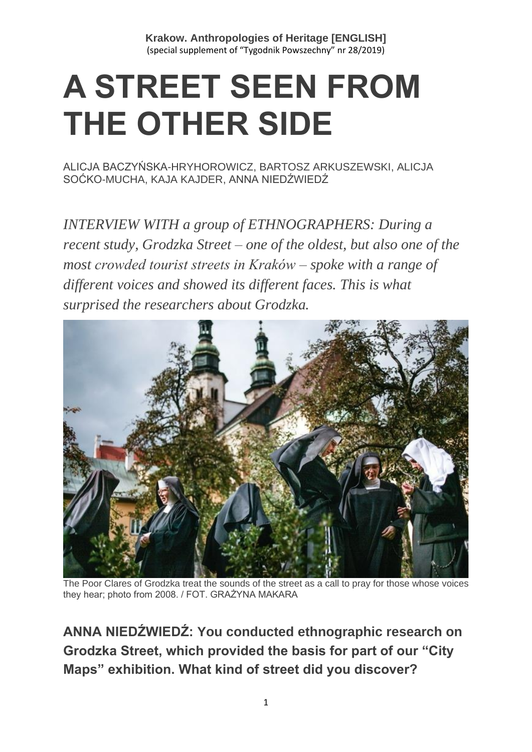# **A STREET SEEN FROM THE OTHER SIDE**

[ALICJA BACZYŃSKA-HRYHOROWICZ,](https://www.tygodnikpowszechny.pl/autor/alicja-baczynska-hryhorowicz-20191) [BARTOSZ ARKUSZEWSKI,](https://www.tygodnikpowszechny.pl/autor/bartosz-arkuszewski-20192) [ALICJA](https://www.tygodnikpowszechny.pl/autor/alicja-socko-mucha-20193)  [SOĆKO-MUCHA,](https://www.tygodnikpowszechny.pl/autor/alicja-socko-mucha-20193) [KAJA KAJDER,](https://www.tygodnikpowszechny.pl/autor/kaja-kajder-20194) [ANNA NIEDŹWIEDŹ](https://www.tygodnikpowszechny.pl/autor/anna-niedzwiedz-1163)

*INTERVIEW WITH a group of ETHNOGRAPHERS: During a recent study, Grodzka Street – one of the oldest, but also one of the most crowded tourist streets in Kraków – spoke with a range of different voices and showed its different faces. This is what surprised the researchers about Grodzka.*



The Poor Clares of Grodzka treat the sounds of the street as a call to pray for those whose voices they hear; photo from 2008. / FOT. GRAŻYNA MAKARA

**ANNA NIEDŹWIEDŹ: You conducted ethnographic research on Grodzka Street, which provided the basis for part of our "City Maps" exhibition. What kind of street did you discover?**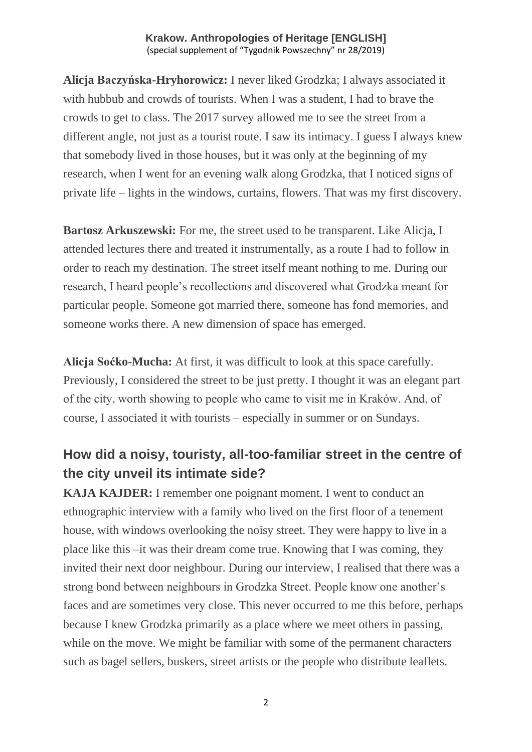**Alicja Baczyńska-Hryhorowicz:** I never liked Grodzka; I always associated it with hubbub and crowds of tourists. When I was a student, I had to brave the crowds to get to class. The 2017 survey allowed me to see the street from a different angle, not just as a tourist route. I saw its intimacy. I guess I always knew that somebody lived in those houses, but it was only at the beginning of my research, when I went for an evening walk along Grodzka, that I noticed signs of private life – lights in the windows, curtains, flowers. That was my first discovery.

**Bartosz Arkuszewski:** For me, the street used to be transparent. Like Alicja, I attended lectures there and treated it instrumentally, as a route I had to follow in order to reach my destination. The street itself meant nothing to me. During our research, I heard people's recollections and discovered what Grodzka meant for particular people. Someone got married there, someone has fond memories, and someone works there. A new dimension of space has emerged.

**Alicja Soćko-Mucha:** At first, it was difficult to look at this space carefully. Previously, I considered the street to be just pretty. I thought it was an elegant part of the city, worth showing to people who came to visit me in Kraków. And, of course, I associated it with tourists – especially in summer or on Sundays.

## **How did a noisy, touristy, all-too-familiar street in the centre of the city unveil its intimate side?**

**KAJA KAJDER:** I remember one poignant moment. I went to conduct an ethnographic interview with a family who lived on the first floor of a tenement house, with windows overlooking the noisy street. They were happy to live in a place like this –it was their dream come true. Knowing that I was coming, they invited their next door neighbour. During our interview, I realised that there was a strong bond between neighbours in Grodzka Street. People know one another's faces and are sometimes very close. This never occurred to me this before, perhaps because I knew Grodzka primarily as a place where we meet others in passing, while on the move. We might be familiar with some of the permanent characters such as bagel sellers, buskers, street artists or the people who distribute leaflets.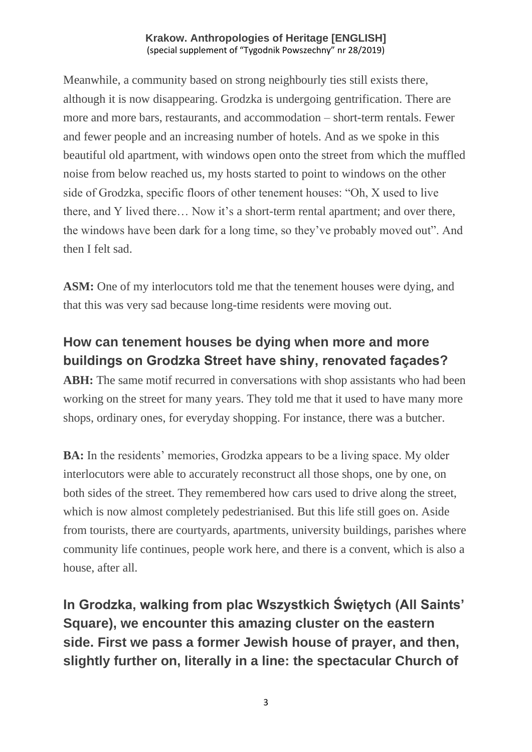Meanwhile, a community based on strong neighbourly ties still exists there, although it is now disappearing. Grodzka is undergoing gentrification. There are more and more bars, restaurants, and accommodation – short-term rentals. Fewer and fewer people and an increasing number of hotels. And as we spoke in this beautiful old apartment, with windows open onto the street from which the muffled noise from below reached us, my hosts started to point to windows on the other side of Grodzka, specific floors of other tenement houses: "Oh, X used to live there, and Y lived there… Now it's a short-term rental apartment; and over there, the windows have been dark for a long time, so they've probably moved out". And then I felt sad.

**ASM:** One of my interlocutors told me that the tenement houses were dying, and that this was very sad because long-time residents were moving out.

## **How can tenement houses be dying when more and more buildings on Grodzka Street have shiny, renovated façades?**

**ABH:** The same motif recurred in conversations with shop assistants who had been working on the street for many years. They told me that it used to have many more shops, ordinary ones, for everyday shopping. For instance, there was a butcher.

**BA:** In the residents' memories, Grodzka appears to be a living space. My older interlocutors were able to accurately reconstruct all those shops, one by one, on both sides of the street. They remembered how cars used to drive along the street, which is now almost completely pedestrianised. But this life still goes on. Aside from tourists, there are courtyards, apartments, university buildings, parishes where community life continues, people work here, and there is a convent, which is also a house, after all.

**In Grodzka, walking from plac Wszystkich Świętych (All Saints' Square), we encounter this amazing cluster on the eastern side. First we pass a former Jewish house of prayer, and then, slightly further on, literally in a line: the spectacular Church of** 

3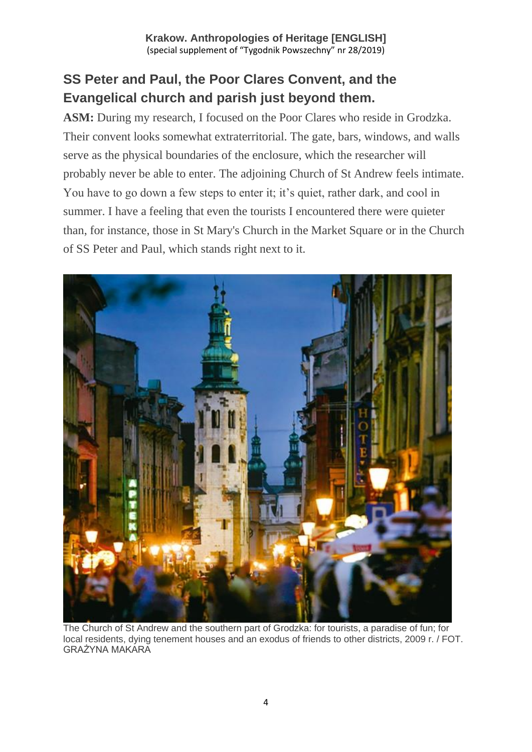## **SS Peter and Paul, the Poor Clares Convent, and the Evangelical church and parish just beyond them.**

**ASM:** During my research, I focused on the Poor Clares who reside in Grodzka. Their convent looks somewhat extraterritorial. The gate, bars, windows, and walls serve as the physical boundaries of the enclosure, which the researcher will probably never be able to enter. The adjoining Church of St Andrew feels intimate. You have to go down a few steps to enter it; it's quiet, rather dark, and cool in summer. I have a feeling that even the tourists I encountered there were quieter than, for instance, those in St Mary's Church in the Market Square or in the Church of SS Peter and Paul, which stands right next to it.



The Church of St Andrew and the southern part of Grodzka: for tourists, a paradise of fun; for local residents, dying tenement houses and an exodus of friends to other districts, 2009 r. / FOT. GRAŻYNA MAKARA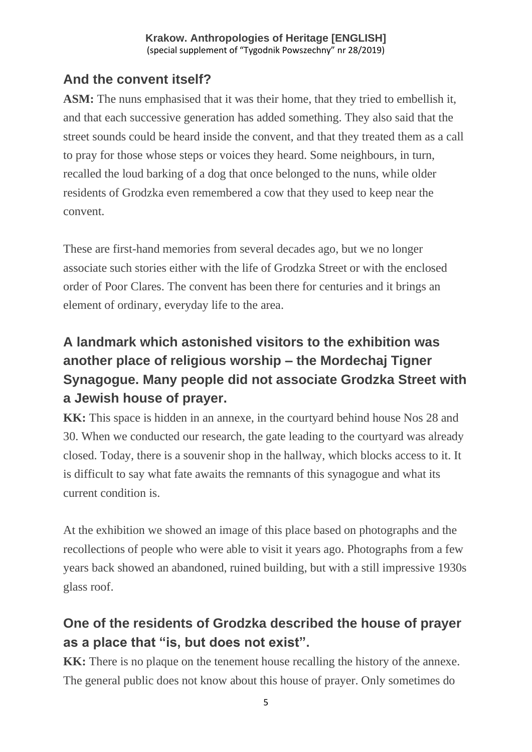## **And the convent itself?**

**ASM:** The nuns emphasised that it was their home, that they tried to embellish it, and that each successive generation has added something. They also said that the street sounds could be heard inside the convent, and that they treated them as a call to pray for those whose steps or voices they heard. Some neighbours, in turn, recalled the loud barking of a dog that once belonged to the nuns, while older residents of Grodzka even remembered a cow that they used to keep near the convent.

These are first-hand memories from several decades ago, but we no longer associate such stories either with the life of Grodzka Street or with the enclosed order of Poor Clares. The convent has been there for centuries and it brings an element of ordinary, everyday life to the area.

# **A landmark which astonished visitors to the exhibition was another place of religious worship – the Mordechaj Tigner Synagogue. Many people did not associate Grodzka Street with a Jewish house of prayer.**

**KK:** This space is hidden in an annexe, in the courtyard behind house Nos 28 and 30. When we conducted our research, the gate leading to the courtyard was already closed. Today, there is a souvenir shop in the hallway, which blocks access to it. It is difficult to say what fate awaits the remnants of this synagogue and what its current condition is.

At the exhibition we showed an image of this place based on photographs and the recollections of people who were able to visit it years ago. Photographs from a few years back showed an abandoned, ruined building, but with a still impressive 1930s glass roof.

# **One of the residents of Grodzka described the house of prayer as a place that "is, but does not exist".**

**KK:** There is no plaque on the tenement house recalling the history of the annexe. The general public does not know about this house of prayer. Only sometimes do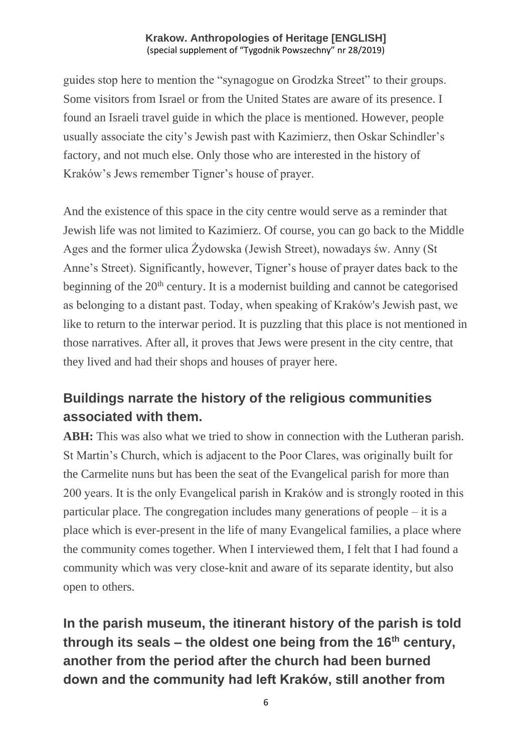guides stop here to mention the "synagogue on Grodzka Street" to their groups. Some visitors from Israel or from the United States are aware of its presence. I found an Israeli travel guide in which the place is mentioned. However, people usually associate the city's Jewish past with Kazimierz, then Oskar Schindler's factory, and not much else. Only those who are interested in the history of Kraków's Jews remember Tigner's house of prayer.

And the existence of this space in the city centre would serve as a reminder that Jewish life was not limited to Kazimierz. Of course, you can go back to the Middle Ages and the former ulica Żydowska (Jewish Street), nowadays św. Anny (St Anne's Street). Significantly, however, Tigner's house of prayer dates back to the beginning of the 20<sup>th</sup> century. It is a modernist building and cannot be categorised as belonging to a distant past. Today, when speaking of Kraków's Jewish past, we like to return to the interwar period. It is puzzling that this place is not mentioned in those narratives. After all, it proves that Jews were present in the city centre, that they lived and had their shops and houses of prayer here.

## **Buildings narrate the history of the religious communities associated with them.**

**ABH:** This was also what we tried to show in connection with the Lutheran parish. St Martin's Church, which is adjacent to the Poor Clares, was originally built for the Carmelite nuns but has been the seat of the Evangelical parish for more than 200 years. It is the only Evangelical parish in Kraków and is strongly rooted in this particular place. The congregation includes many generations of people – it is a place which is ever-present in the life of many Evangelical families, a place where the community comes together. When I interviewed them, I felt that I had found a community which was very close-knit and aware of its separate identity, but also open to others.

**In the parish museum, the itinerant history of the parish is told through its seals – the oldest one being from the 16th century, another from the period after the church had been burned down and the community had left Kraków, still another from**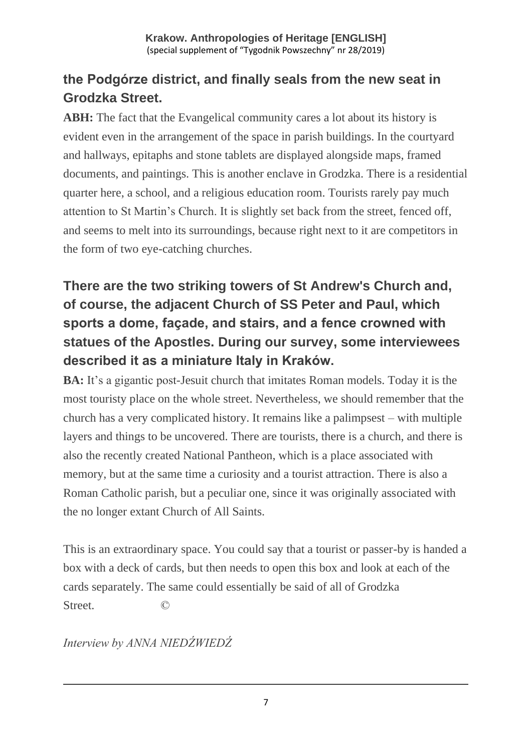# **the Podgórze district, and finally seals from the new seat in Grodzka Street.**

**ABH:** The fact that the Evangelical community cares a lot about its history is evident even in the arrangement of the space in parish buildings. In the courtyard and hallways, epitaphs and stone tablets are displayed alongside maps, framed documents, and paintings. This is another enclave in Grodzka. There is a residential quarter here, a school, and a religious education room. Tourists rarely pay much attention to St Martin's Church. It is slightly set back from the street, fenced off, and seems to melt into its surroundings, because right next to it are competitors in the form of two eye-catching churches.

# **There are the two striking towers of St Andrew's Church and, of course, the adjacent Church of SS Peter and Paul, which sports a dome, façade, and stairs, and a fence crowned with statues of the Apostles. During our survey, some interviewees described it as a miniature Italy in Kraków.**

**BA:** It's a gigantic post-Jesuit church that imitates Roman models. Today it is the most touristy place on the whole street. Nevertheless, we should remember that the church has a very complicated history. It remains like a palimpsest – with multiple layers and things to be uncovered. There are tourists, there is a church, and there is also the recently created National Pantheon, which is a place associated with memory, but at the same time a curiosity and a tourist attraction. There is also a Roman Catholic parish, but a peculiar one, since it was originally associated with the no longer extant Church of All Saints.

This is an extraordinary space. You could say that a tourist or passer-by is handed a box with a deck of cards, but then needs to open this box and look at each of the cards separately. The same could essentially be said of all of Grodzka Street. ©

*Interview by ANNA NIEDŹWIEDŹ*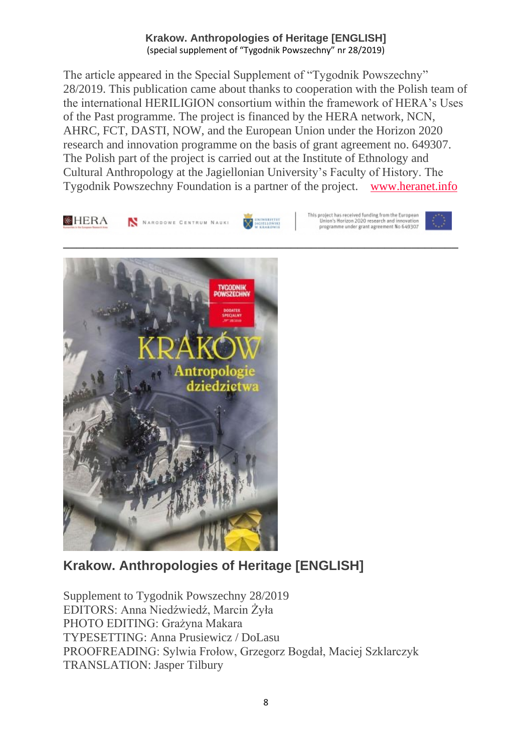The article appeared in the Special Supplement of "Tygodnik Powszechny" 28/2019. This publication came about thanks to cooperation with the Polish team of the international HERILIGION consortium within the framework of HERA's Uses of the Past programme. The project is financed by the HERA network, NCN, AHRC, FCT, DASTI, NOW, and the European Union under the Horizon 2020 research and innovation programme on the basis of grant agreement no. 649307. The Polish part of the project is carried out at the Institute of Ethnology and Cultural Anthropology at the Jagiellonian University's Faculty of History. The Tygodnik Powszechny Foundation is a partner of the project. [www.heranet.info](http://www.heranet.info/)



## **Krakow. Anthropologies of Heritage [ENGLISH]**

Supplement to Tygodnik Powszechny 28/2019 EDITORS: Anna Niedźwiedź, Marcin Żyła PHOTO EDITING: Grażyna Makara TYPESETTING: Anna Prusiewicz / DoLasu PROOFREADING: Sylwia Frołow, Grzegorz Bogdał, Maciej Szklarczyk TRANSLATION: Jasper Tilbury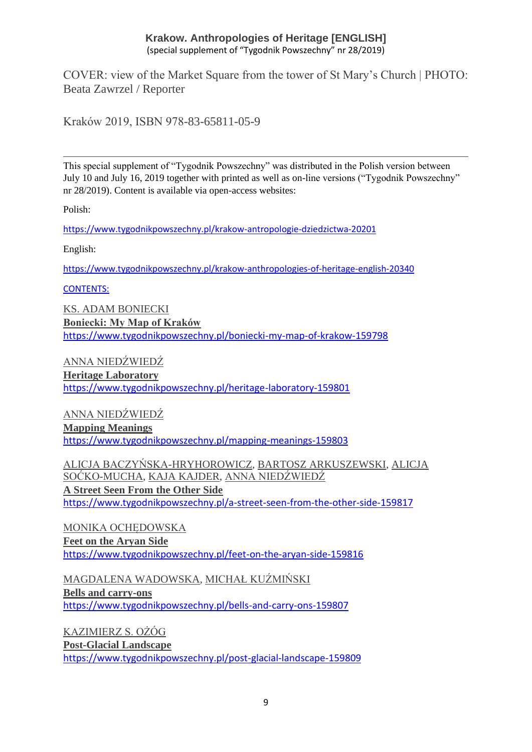COVER: view of the Market Square from the tower of St Mary's Church | PHOTO: Beata Zawrzel / Reporter

Kraków 2019, ISBN 978-83-65811-05-9

This special supplement of "Tygodnik Powszechny" was distributed in the Polish version between July 10 and July 16, 2019 together with printed as well as on-line versions ("Tygodnik Powszechny" nr 28/2019). Content is available via open-access websites:

Polish:

<https://www.tygodnikpowszechny.pl/krakow-antropologie-dziedzictwa-20201>

English:

<https://www.tygodnikpowszechny.pl/krakow-anthropologies-of-heritage-english-20340>

CONTENTS:

[KS. ADAM BONIECKI](https://www.tygodnikpowszechny.pl/autor/ks-adam-boniecki-52) **[Boniecki: My Map of Kraków](https://www.tygodnikpowszechny.pl/boniecki-my-map-of-krakow-159798)** <https://www.tygodnikpowszechny.pl/boniecki-my-map-of-krakow-159798>

[ANNA NIEDŹWIEDŹ](https://www.tygodnikpowszechny.pl/autor/anna-niedzwiedz-1163)

**[Heritage Laboratory](https://www.tygodnikpowszechny.pl/heritage-laboratory-159801)** <https://www.tygodnikpowszechny.pl/heritage-laboratory-159801>

[ANNA NIEDŹWIEDŹ](https://www.tygodnikpowszechny.pl/autor/anna-niedzwiedz-1163) **[Mapping Meanings](https://www.tygodnikpowszechny.pl/mapping-meanings-159803)** <https://www.tygodnikpowszechny.pl/mapping-meanings-159803>

[ALICJA BACZYŃSKA-HRYHOROWICZ,](https://www.tygodnikpowszechny.pl/autor/alicja-baczynska-hryhorowicz-20191) [BARTOSZ ARKUSZEWSKI,](https://www.tygodnikpowszechny.pl/autor/bartosz-arkuszewski-20192) [ALICJA](https://www.tygodnikpowszechny.pl/autor/alicja-socko-mucha-20193)  [SOĆKO-MUCHA,](https://www.tygodnikpowszechny.pl/autor/alicja-socko-mucha-20193) [KAJA KAJDER,](https://www.tygodnikpowszechny.pl/autor/kaja-kajder-20194) [ANNA NIEDŹWIEDŹ](https://www.tygodnikpowszechny.pl/autor/anna-niedzwiedz-1163) **[A Street Seen From the Other Side](https://www.tygodnikpowszechny.pl/a-street-seen-from-the-other-side-159817)** <https://www.tygodnikpowszechny.pl/a-street-seen-from-the-other-side-159817>

[MONIKA OCHĘDOWSKA](https://www.tygodnikpowszechny.pl/autor/monika-ochedowska-16005) **[Feet on the Aryan Side](https://www.tygodnikpowszechny.pl/feet-on-the-aryan-side-159816)** <https://www.tygodnikpowszechny.pl/feet-on-the-aryan-side-159816>

[MAGDALENA WADOWSKA,](https://www.tygodnikpowszechny.pl/autor/magdalena-wadowska-20195) [MICHAŁ KUŹMIŃSKI](https://www.tygodnikpowszechny.pl/autor/michal-kuzminski-109) **[Bells and carry-ons](https://www.tygodnikpowszechny.pl/bells-and-carry-ons-159807)** <https://www.tygodnikpowszechny.pl/bells-and-carry-ons-159807>

[KAZIMIERZ S. OŻÓG](https://www.tygodnikpowszechny.pl/autor/kazimierz-s-ozog-20196) **[Post-Glacial Landscape](https://www.tygodnikpowszechny.pl/post-glacial-landscape-159809)** <https://www.tygodnikpowszechny.pl/post-glacial-landscape-159809>